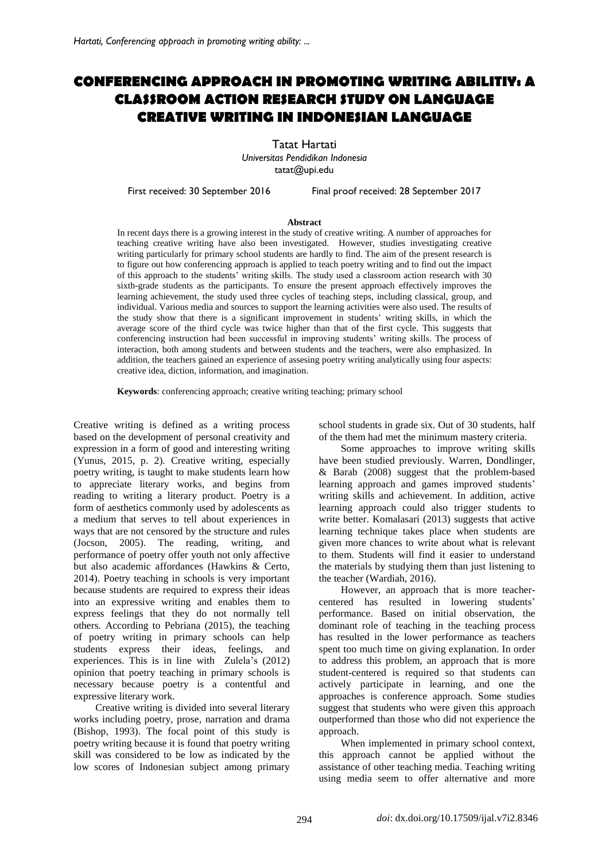# **CONFERENCING APPROACH IN PROMOTING WRITING ABILITIY: A CLASSROOM ACTION RESEARCH STUDY ON LANGUAGE CREATIVE WRITING IN INDONESIAN LANGUAGE**

Tatat Hartati *Universitas Pendidikan Indonesia* [tatat@upi.edu](mailto:tatat@upi.edu)

First received: 30 September 2016 Final proof received: 28 September 2017

#### **Abstract**

In recent days there is a growing interest in the study of creative writing. A number of approaches for teaching creative writing have also been investigated. However, studies investigating creative writing particularly for primary school students are hardly to find. The aim of the present research is to figure out how conferencing approach is applied to teach poetry writing and to find out the impact of this approach to the students' writing skills. The study used a classroom action research with 30 sixth-grade students as the participants. To ensure the present approach effectively improves the learning achievement, the study used three cycles of teaching steps, including classical, group, and individual. Various media and sources to support the learning activities were also used. The results of the study show that there is a significant improvement in students' writing skills, in which the average score of the third cycle was twice higher than that of the first cycle. This suggests that conferencing instruction had been successful in improving students' writing skills. The process of interaction, both among students and between students and the teachers, were also emphasized. In addition, the teachers gained an experience of assesing poetry writing analytically using four aspects: creative idea, diction, information, and imagination.

**Keywords**: conferencing approach; creative writing teaching; primary school

Creative writing is defined as a writing process based on the development of personal creativity and expression in a form of good and interesting writing (Yunus, 2015, p. 2). Creative writing, especially poetry writing, is taught to make students learn how to appreciate literary works, and begins from reading to writing a literary product. Poetry is a form of aesthetics commonly used by adolescents as a medium that serves to tell about experiences in ways that are not censored by the structure and rules (Jocson, 2005). The reading, writing, and performance of poetry offer youth not only affective but also academic affordances (Hawkins & Certo, 2014). Poetry teaching in schools is very important because students are required to express their ideas into an expressive writing and enables them to express feelings that they do not normally tell others. According to Pebriana (2015), the teaching of poetry writing in primary schools can help students express their ideas, feelings, and experiences. This is in line with Zulela's (2012) opinion that poetry teaching in primary schools is necessary because poetry is a contentful and expressive literary work.

Creative writing is divided into several literary works including poetry, prose, narration and drama (Bishop, 1993). The focal point of this study is poetry writing because it is found that poetry writing skill was considered to be low as indicated by the low scores of Indonesian subject among primary school students in grade six. Out of 30 students, half of the them had met the minimum mastery criteria.

Some approaches to improve writing skills have been studied previously. Warren, Dondlinger, & Barab (2008) suggest that the problem-based learning approach and games improved students' writing skills and achievement. In addition, active learning approach could also trigger students to write better. Komalasari (2013) suggests that active learning technique takes place when students are given more chances to write about what is relevant to them. Students will find it easier to understand the materials by studying them than just listening to the teacher (Wardiah, 2016).

However, an approach that is more teachercentered has resulted in lowering students' performance. Based on initial observation, the dominant role of teaching in the teaching process has resulted in the lower performance as teachers spent too much time on giving explanation. In order to address this problem, an approach that is more student-centered is required so that students can actively participate in learning, and one the approaches is conference approach. Some studies suggest that students who were given this approach outperformed than those who did not experience the approach.

When implemented in primary school context, this approach cannot be applied without the assistance of other teaching media. Teaching writing using media seem to offer alternative and more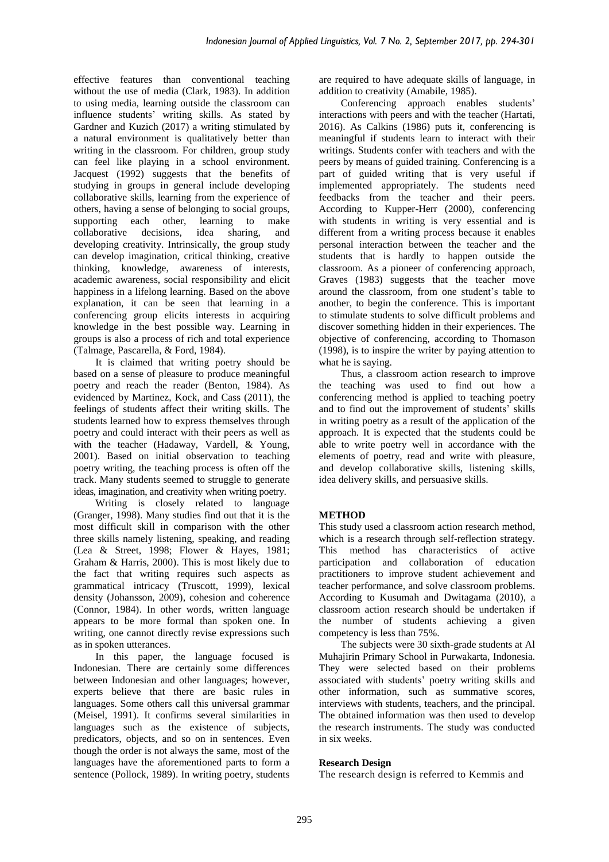effective features than conventional teaching without the use of media (Clark, 1983). In addition to using media, learning outside the classroom can influence students' writing skills. As stated by Gardner and Kuzich (2017) a writing stimulated by a natural environment is qualitatively better than writing in the classroom. For children, group study can feel like playing in a school environment. Jacquest (1992) suggests that the benefits of studying in groups in general include developing collaborative skills, learning from the experience of others, having a sense of belonging to social groups, supporting each other, collaborative decisions, idea sharing, and developing creativity. Intrinsically, the group study can develop imagination, critical thinking, creative thinking, knowledge, awareness of interests, academic awareness, social responsibility and elicit happiness in a lifelong learning. Based on the above explanation, it can be seen that learning in a conferencing group elicits interests in acquiring knowledge in the best possible way. Learning in groups is also a process of rich and total experience (Talmage, Pascarella, & Ford, 1984).

It is claimed that writing poetry should be based on a sense of pleasure to produce meaningful poetry and reach the reader (Benton, 1984). As evidenced by Martinez, Kock, and Cass (2011), the feelings of students affect their writing skills. The students learned how to express themselves through poetry and could interact with their peers as well as with the teacher (Hadaway, Vardell, & Young, 2001). Based on initial observation to teaching poetry writing, the teaching process is often off the track. Many students seemed to struggle to generate ideas, imagination, and creativity when writing poetry.

Writing is closely related to language (Granger, 1998). Many studies find out that it is the most difficult skill in comparison with the other three skills namely listening, speaking, and reading (Lea & Street, 1998; Flower & Hayes, 1981; Graham & Harris, 2000). This is most likely due to the fact that writing requires such aspects as grammatical intricacy (Truscott, 1999), lexical density (Johansson, 2009), cohesion and coherence (Connor, 1984). In other words, written language appears to be more formal than spoken one. In writing, one cannot directly revise expressions such as in spoken utterances.

In this paper, the language focused is Indonesian. There are certainly some differences between Indonesian and other languages; however, experts believe that there are basic rules in languages. Some others call this universal grammar (Meisel, 1991). It confirms several similarities in languages such as the existence of subjects, predicators, objects, and so on in sentences. Even though the order is not always the same, most of the languages have the aforementioned parts to form a sentence (Pollock, 1989). In writing poetry, students are required to have adequate skills of language, in addition to creativity (Amabile, 1985).

Conferencing approach enables students' interactions with peers and with the teacher (Hartati, 2016). As Calkins (1986) puts it, conferencing is meaningful if students learn to interact with their writings. Students confer with teachers and with the peers by means of guided training. Conferencing is a part of guided writing that is very useful if implemented appropriately. The students need feedbacks from the teacher and their peers. According to Kupper-Herr (2000), conferencing with students in writing is very essential and is different from a writing process because it enables personal interaction between the teacher and the students that is hardly to happen outside the classroom. As a pioneer of conferencing approach, Graves (1983) suggests that the teacher move around the classroom, from one student's table to another, to begin the conference. This is important to stimulate students to solve difficult problems and discover something hidden in their experiences. The objective of conferencing, according to Thomason (1998), is to inspire the writer by paying attention to what he is saying.

Thus, a classroom action research to improve the teaching was used to find out how a conferencing method is applied to teaching poetry and to find out the improvement of students' skills in writing poetry as a result of the application of the approach. It is expected that the students could be able to write poetry well in accordance with the elements of poetry, read and write with pleasure, and develop collaborative skills, listening skills, idea delivery skills, and persuasive skills.

# **METHOD**

This study used a classroom action research method, which is a research through self-reflection strategy. This method has characteristics of active participation and collaboration of education practitioners to improve student achievement and teacher performance, and solve classroom problems. According to Kusumah and Dwitagama (2010), a classroom action research should be undertaken if the number of students achieving a given competency is less than 75%.

The subjects were 30 sixth-grade students at Al Muhajirin Primary School in Purwakarta, Indonesia. They were selected based on their problems associated with students' poetry writing skills and other information, such as summative scores, interviews with students, teachers, and the principal. The obtained information was then used to develop the research instruments. The study was conducted in six weeks.

# **Research Design**

The research design is referred to Kemmis and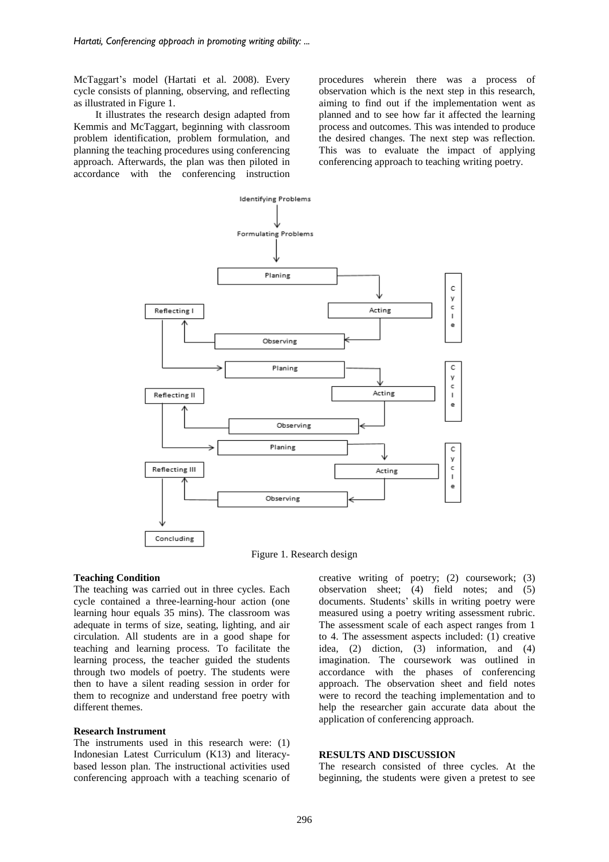McTaggart's model (Hartati et al. 2008). Every cycle consists of planning, observing, and reflecting as illustrated in Figure 1.

It illustrates the research design adapted from Kemmis and McTaggart, beginning with classroom problem identification, problem formulation, and planning the teaching procedures using conferencing approach. Afterwards, the plan was then piloted in accordance with the conferencing instruction procedures wherein there was a process of observation which is the next step in this research, aiming to find out if the implementation went as planned and to see how far it affected the learning process and outcomes. This was intended to produce the desired changes. The next step was reflection. This was to evaluate the impact of applying conferencing approach to teaching writing poetry.



Figure 1. Research design

#### **Teaching Condition**

The teaching was carried out in three cycles. Each cycle contained a three-learning-hour action (one learning hour equals 35 mins). The classroom was adequate in terms of size, seating, lighting, and air circulation. All students are in a good shape for teaching and learning process. To facilitate the learning process, the teacher guided the students through two models of poetry. The students were then to have a silent reading session in order for them to recognize and understand free poetry with different themes.

#### **Research Instrument**

The instruments used in this research were: (1) Indonesian Latest Curriculum (K13) and literacybased lesson plan. The instructional activities used conferencing approach with a teaching scenario of creative writing of poetry; (2) coursework; (3) observation sheet; (4) field notes; and (5) documents. Students' skills in writing poetry were measured using a poetry writing assessment rubric. The assessment scale of each aspect ranges from 1 to 4. The assessment aspects included: (1) creative idea, (2) diction, (3) information, and (4) imagination. The coursework was outlined in accordance with the phases of conferencing approach. The observation sheet and field notes were to record the teaching implementation and to help the researcher gain accurate data about the application of conferencing approach.

### **RESULTS AND DISCUSSION**

The research consisted of three cycles. At the beginning, the students were given a pretest to see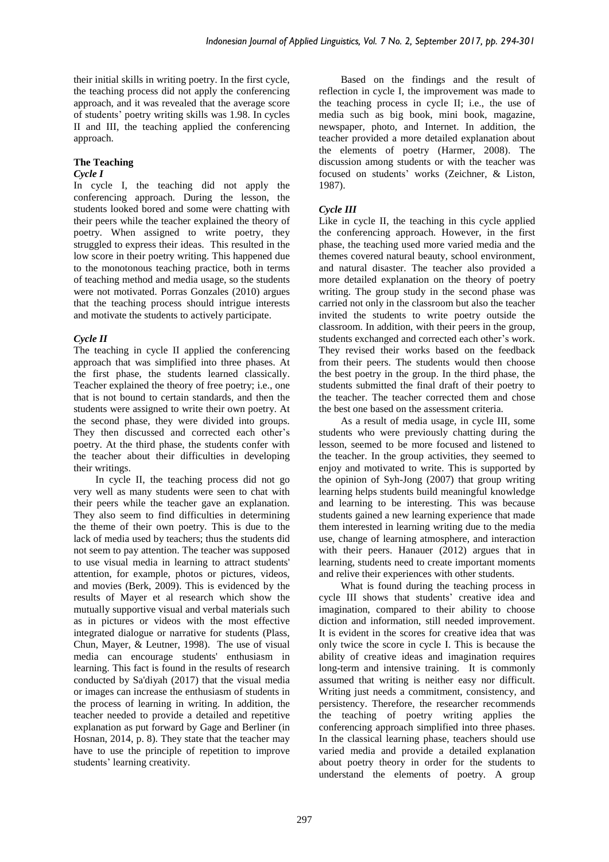their initial skills in writing poetry. In the first cycle, the teaching process did not apply the conferencing approach, and it was revealed that the average score of students' poetry writing skills was 1.98. In cycles II and III, the teaching applied the conferencing approach.

# **The Teaching**

### *Cycle I*

In cycle I, the teaching did not apply the conferencing approach. During the lesson, the students looked bored and some were chatting with their peers while the teacher explained the theory of poetry. When assigned to write poetry, they struggled to express their ideas. This resulted in the low score in their poetry writing. This happened due to the monotonous teaching practice, both in terms of teaching method and media usage, so the students were not motivated. Porras Gonzales (2010) argues that the teaching process should intrigue interests and motivate the students to actively participate.

### *Cycle II*

The teaching in cycle II applied the conferencing approach that was simplified into three phases. At the first phase, the students learned classically. Teacher explained the theory of free poetry; i.e., one that is not bound to certain standards, and then the students were assigned to write their own poetry. At the second phase, they were divided into groups. They then discussed and corrected each other's poetry. At the third phase, the students confer with the teacher about their difficulties in developing their writings.

In cycle II, the teaching process did not go very well as many students were seen to chat with their peers while the teacher gave an explanation. They also seem to find difficulties in determining the theme of their own poetry. This is due to the lack of media used by teachers; thus the students did not seem to pay attention. The teacher was supposed to use visual media in learning to attract students' attention, for example, photos or pictures, videos, and movies (Berk, 2009). This is evidenced by the results of Mayer et al research which show the mutually supportive visual and verbal materials such as in pictures or videos with the most effective integrated dialogue or narrative for students (Plass, Chun, Mayer, & Leutner, 1998). The use of visual media can encourage students' enthusiasm in learning. This fact is found in the results of research conducted by Sa'diyah (2017) that the visual media or images can increase the enthusiasm of students in the process of learning in writing. In addition, the teacher needed to provide a detailed and repetitive explanation as put forward by Gage and Berliner (in Hosnan, 2014, p. 8). They state that the teacher may have to use the principle of repetition to improve students' learning creativity.

Based on the findings and the result of reflection in cycle I, the improvement was made to the teaching process in cycle II; i.e., the use of media such as big book, mini book, magazine, newspaper, photo, and Internet. In addition, the teacher provided a more detailed explanation about the elements of poetry (Harmer, 2008). The discussion among students or with the teacher was focused on students' works (Zeichner, & Liston, 1987).

# *Cycle III*

Like in cycle II, the teaching in this cycle applied the conferencing approach. However, in the first phase, the teaching used more varied media and the themes covered natural beauty, school environment, and natural disaster. The teacher also provided a more detailed explanation on the theory of poetry writing. The group study in the second phase was carried not only in the classroom but also the teacher invited the students to write poetry outside the classroom. In addition, with their peers in the group, students exchanged and corrected each other's work. They revised their works based on the feedback from their peers. The students would then choose the best poetry in the group. In the third phase, the students submitted the final draft of their poetry to the teacher. The teacher corrected them and chose the best one based on the assessment criteria.

As a result of media usage, in cycle III, some students who were previously chatting during the lesson, seemed to be more focused and listened to the teacher. In the group activities, they seemed to enjoy and motivated to write. This is supported by the opinion of Syh-Jong (2007) that group writing learning helps students build meaningful knowledge and learning to be interesting. This was because students gained a new learning experience that made them interested in learning writing due to the media use, change of learning atmosphere, and interaction with their peers. Hanauer (2012) argues that in learning, students need to create important moments and relive their experiences with other students.

What is found during the teaching process in cycle III shows that students' creative idea and imagination, compared to their ability to choose diction and information, still needed improvement. It is evident in the scores for creative idea that was only twice the score in cycle I. This is because the ability of creative ideas and imagination requires long-term and intensive training. It is commonly assumed that writing is neither easy nor difficult. Writing just needs a commitment, consistency, and persistency. Therefore, the researcher recommends the teaching of poetry writing applies the conferencing approach simplified into three phases. In the classical learning phase, teachers should use varied media and provide a detailed explanation about poetry theory in order for the students to understand the elements of poetry. A group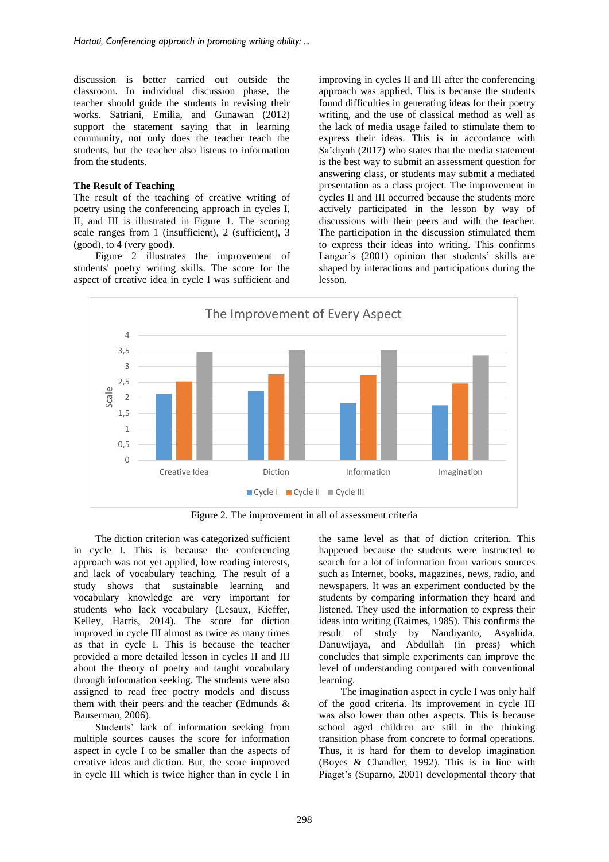discussion is better carried out outside the classroom. In individual discussion phase, the teacher should guide the students in revising their works. Satriani, Emilia, and Gunawan (2012) support the statement saying that in learning community, not only does the teacher teach the students, but the teacher also listens to information from the students.

### **The Result of Teaching**

The result of the teaching of creative writing of poetry using the conferencing approach in cycles I, II, and III is illustrated in Figure 1. The scoring scale ranges from 1 (insufficient), 2 (sufficient), 3 (good), to 4 (very good).

Figure 2 illustrates the improvement of students' poetry writing skills. The score for the aspect of creative idea in cycle I was sufficient and improving in cycles II and III after the conferencing approach was applied. This is because the students found difficulties in generating ideas for their poetry writing, and the use of classical method as well as the lack of media usage failed to stimulate them to express their ideas. This is in accordance with Sa'diyah (2017) who states that the media statement is the best way to submit an assessment question for answering class, or students may submit a mediated presentation as a class project. The improvement in cycles II and III occurred because the students more actively participated in the lesson by way of discussions with their peers and with the teacher. The participation in the discussion stimulated them to express their ideas into writing. This confirms Langer's (2001) opinion that students' skills are shaped by interactions and participations during the lesson.



Figure 2. The improvement in all of assessment criteria

The diction criterion was categorized sufficient in cycle I. This is because the conferencing approach was not yet applied, low reading interests, and lack of vocabulary teaching. The result of a study shows that sustainable learning and vocabulary knowledge are very important for students who lack vocabulary (Lesaux, Kieffer, Kelley, Harris, 2014). The score for diction improved in cycle III almost as twice as many times as that in cycle I. This is because the teacher provided a more detailed lesson in cycles II and III about the theory of poetry and taught vocabulary through information seeking. The students were also assigned to read free poetry models and discuss them with their peers and the teacher (Edmunds & Bauserman, 2006).

Students' lack of information seeking from multiple sources causes the score for information aspect in cycle I to be smaller than the aspects of creative ideas and diction. But, the score improved in cycle III which is twice higher than in cycle I in the same level as that of diction criterion. This happened because the students were instructed to search for a lot of information from various sources such as Internet, books, magazines, news, radio, and newspapers. It was an experiment conducted by the students by comparing information they heard and listened. They used the information to express their ideas into writing (Raimes, 1985). This confirms the result of study by Nandiyanto, Asyahida, Danuwijaya, and Abdullah (in press) which concludes that simple experiments can improve the level of understanding compared with conventional learning.

The imagination aspect in cycle I was only half of the good criteria. Its improvement in cycle III was also lower than other aspects. This is because school aged children are still in the thinking transition phase from concrete to formal operations. Thus, it is hard for them to develop imagination (Boyes & Chandler, 1992). This is in line with Piaget's (Suparno, 2001) developmental theory that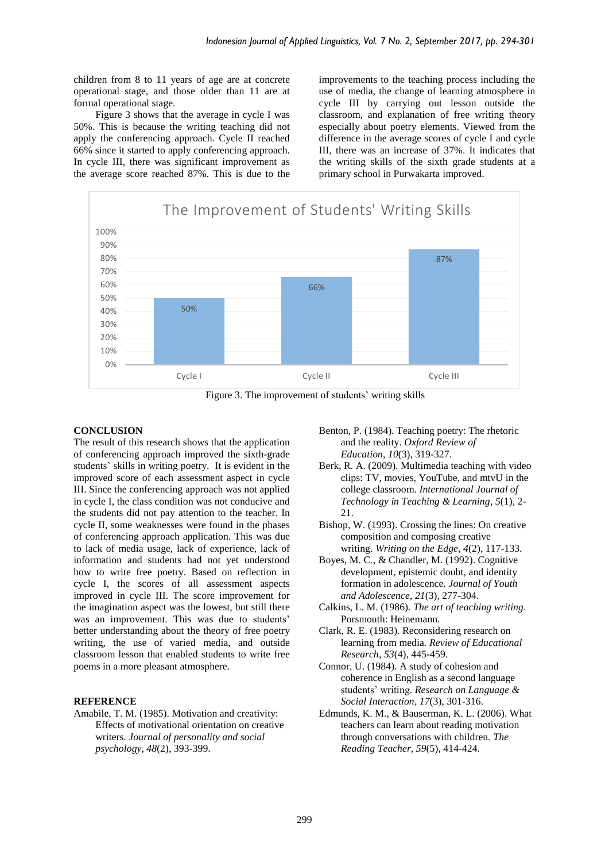children from 8 to 11 years of age are at concrete operational stage, and those older than 11 are at formal operational stage.

Figure 3 shows that the average in cycle I was 50%. This is because the writing teaching did not apply the conferencing approach. Cycle II reached 66% since it started to apply conferencing approach. In cycle III, there was significant improvement as the average score reached 87%. This is due to the improvements to the teaching process including the use of media, the change of learning atmosphere in cycle III by carrying out lesson outside the classroom, and explanation of free writing theory especially about poetry elements. Viewed from the difference in the average scores of cycle I and cycle III, there was an increase of 37%. It indicates that the writing skills of the sixth grade students at a primary school in Purwakarta improved.



Figure 3. The improvement of students' writing skills

#### **CONCLUSION**

The result of this research shows that the application of conferencing approach improved the sixth-grade students' skills in writing poetry. It is evident in the improved score of each assessment aspect in cycle III. Since the conferencing approach was not applied in cycle I, the class condition was not conducive and the students did not pay attention to the teacher. In cycle II, some weaknesses were found in the phases of conferencing approach application. This was due to lack of media usage, lack of experience, lack of information and students had not yet understood how to write free poetry. Based on reflection in cycle I, the scores of all assessment aspects improved in cycle III. The score improvement for the imagination aspect was the lowest, but still there was an improvement. This was due to students' better understanding about the theory of free poetry writing, the use of varied media, and outside classroom lesson that enabled students to write free poems in a more pleasant atmosphere.

### **REFERENCE**

Amabile, T. M. (1985). Motivation and creativity: Effects of motivational orientation on creative writers. *Journal of personality and social psychology*, *48*(2), 393-399.

- Benton, P. (1984). Teaching poetry: The rhetoric and the reality. *Oxford Review of Education*, *10*(3), 319-327.
- Berk, R. A. (2009). Multimedia teaching with video clips: TV, movies, YouTube, and mtvU in the college classroom. *International Journal of Technology in Teaching & Learning*, *5*(1), 2- 21.
- Bishop, W. (1993). Crossing the lines: On creative composition and composing creative writing. *Writing on the Edge*, *4*(2), 117-133.
- Boyes, M. C., & Chandler, M. (1992). Cognitive development, epistemic doubt, and identity formation in adolescence. *Journal of Youth and Adolescence*, *21*(3), 277-304.
- Calkins, L. M. (1986). *The art of teaching writing*. Porsmouth: Heinemann.
- Clark, R. E. (1983). Reconsidering research on learning from media. *Review of Educational Research*, *53*(4), 445-459.
- Connor, U. (1984). A study of cohesion and coherence in English as a second language students' writing. *Research on Language & Social Interaction*, *17*(3), 301-316.
- Edmunds, K. M., & Bauserman, K. L. (2006). What teachers can learn about reading motivation through conversations with children. *The Reading Teacher, 59*(5), 414-424.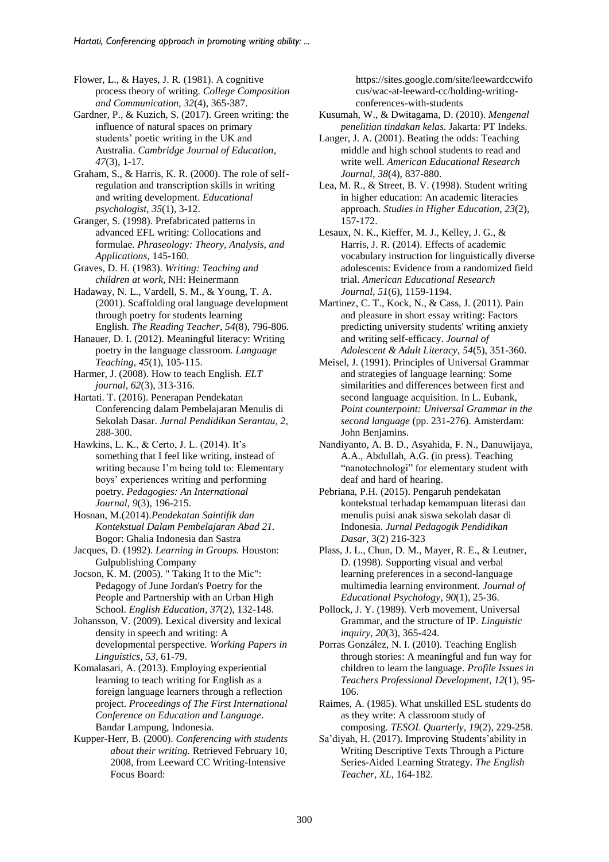Flower, L., & Hayes, J. R. (1981). A cognitive process theory of writing. *College Composition and Communication*, *32*(4), 365-387.

Gardner, P., & Kuzich, S. (2017). Green writing: the influence of natural spaces on primary students' poetic writing in the UK and Australia. *Cambridge Journal of Education*, *47*(3), 1-17.

Graham, S., & Harris, K. R. (2000). The role of selfregulation and transcription skills in writing and writing development. *Educational psychologist*, *35*(1), 3-12.

Granger, S. (1998). Prefabricated patterns in advanced EFL writing: Collocations and formulae. *Phraseology: Theory, Analysis, and Applications*, 145-160.

Graves, D. H. (1983). *Writing: Teaching and children at work*, NH: Heinermann

Hadaway, N. L., Vardell, S. M., & Young, T. A. (2001). Scaffolding oral language development through poetry for students learning English. *The Reading Teacher*, *54*(8), 796-806.

Hanauer, D. I. (2012). Meaningful literacy: Writing poetry in the language classroom. *Language Teaching*, *45*(1), 105-115.

Harmer, J. (2008). How to teach English. *ELT journal, 62*(3), 313-316.

Hartati. T. (2016). Penerapan Pendekatan Conferencing dalam Pembelajaran Menulis di Sekolah Dasar. *Jurnal Pendidikan Serantau, 2*, 288-300.

Hawkins, L. K., & Certo, J. L. (2014). It's something that I feel like writing, instead of writing because I'm being told to: Elementary boys' experiences writing and performing poetry. *Pedagogies: An International Journal*, *9*(3), 196-215.

Hosnan, M.(2014).*Pendekatan Saintifik dan Kontekstual Dalam Pembelajaran Abad 21.* Bogor: Ghalia Indonesia dan Sastra

Jacques, D. (1992). *Learning in Groups.* Houston: Gulpublishing Company

Jocson, K. M. (2005). " Taking It to the Mic": Pedagogy of June Jordan's Poetry for the People and Partnership with an Urban High School. *English Education, 37*(2), 132-148.

Johansson, V. (2009). Lexical diversity and lexical density in speech and writing: A developmental perspective. *Working Papers in Linguistics*, *53*, 61-79.

Komalasari, A. (2013). Employing experiential learning to teach writing for English as a foreign language learners through a reflection project. *Proceedings of The First International Conference on Education and Language*. Bandar Lampung, Indonesia.

Kupper-Herr, B. (2000). *Conferencing with students about their writing.* Retrieved February 10, 2008, from Leeward CC Writing-Intensive Focus Board:

https://sites.google.com/site/leewardccwifo cus/wac-at-leeward-cc/holding-writingconferences-with-students

Kusumah, W., & Dwitagama, D. (2010). *Mengenal penelitian tindakan kelas.* Jakarta: PT Indeks.

Langer, J. A. (2001). Beating the odds: Teaching middle and high school students to read and write well. *American Educational Research Journal*, *38*(4), 837-880.

Lea, M. R., & Street, B. V. (1998). Student writing in higher education: An academic literacies approach. *Studies in Higher Education*, *23*(2), 157-172.

Lesaux, N. K., Kieffer, M. J., Kelley, J. G., & Harris, J. R. (2014). Effects of academic vocabulary instruction for linguistically diverse adolescents: Evidence from a randomized field trial. *American Educational Research Journal*, *51*(6), 1159-1194.

Martinez, C. T., Kock, N., & Cass, J. (2011). Pain and pleasure in short essay writing: Factors predicting university students' writing anxiety and writing self-efficacy. *Journal of Adolescent & Adult Literacy*, *54*(5), 351-360.

Meisel, J. (1991). Principles of Universal Grammar and strategies of language learning: Some similarities and differences between first and second language acquisition. In L. Eubank, *Point counterpoint: Universal Grammar in the second language* (pp. 231-276). Amsterdam: John Benjamins.

Nandiyanto, A. B. D., Asyahida, F. N., Danuwijaya, A.A., Abdullah, A.G. (in press). Teaching "nanotechnologi" for elementary student with deaf and hard of hearing.

Pebriana, P.H. (2015). Pengaruh pendekatan kontekstual terhadap kemampuan literasi dan menulis puisi anak siswa sekolah dasar di Indonesia. *Jurnal Pedagogik Pendidikan Dasar,* 3(2) 216-323

Plass, J. L., Chun, D. M., Mayer, R. E., & Leutner, D. (1998). Supporting visual and verbal learning preferences in a second-language multimedia learning environment. *Journal of Educational Psychology*, *90*(1), 25-36.

Pollock, J. Y. (1989). Verb movement, Universal Grammar, and the structure of IP. *Linguistic inquiry*, *20*(3), 365-424.

Porras González, N. I. (2010). Teaching English through stories: A meaningful and fun way for children to learn the language. *Profile Issues in Teachers Professional Development*, *12*(1), 95- 106.

Raimes, A. (1985). What unskilled ESL students do as they write: A classroom study of composing. *TESOL Quarterly, 19*(2), 229-258.

Sa'diyah, H. (2017). Improving Students'ability in Writing Descriptive Texts Through a Picture Series-Aided Learning Strategy. *The English Teacher, XL,* 164-182.